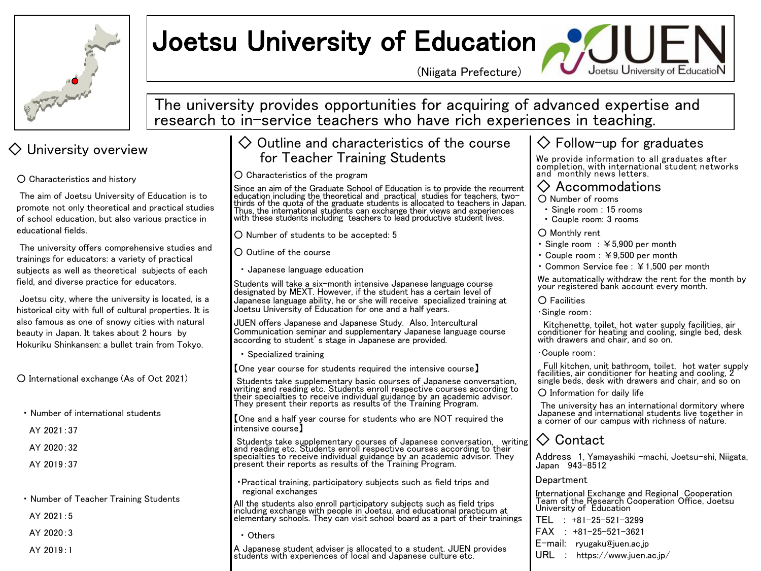

# Joetsu University of Education

(Niigata Prefecture)



The university provides opportunities for acquiring of advanced expertise and research to in-service teachers who have rich experiences in teaching.

The aim of Joetsu University of Education is to promote not only theoretical and practical studies of school education, but also various practice in educational fields.

The university offers comprehensive studies and trainings for educators: a variety of practical subjects as well as theoretical subjects of each field, and diverse practice for educators.

Joetsu city, where the university is located, is a historical city with full of cultural properties. It is also famous as one of snowy cities with natural beauty in Japan. It takes about 2 hours by Hokuriku Shinkansen: a bullet train from Tokyo.

○ International exchange (As of Oct 2021)

- ・ Number of international students
- AY 2021:37
- $AY$  2020 $.32$
- AY 2019:37

・ Number of Teacher Training Students

- AY 2021:5
- $AY$  2020 $\cdot$ 3
- AY 2019:1

## $\Diamond$  University overview  $\Diamond$  Outline and characteristics of the course for Teacher Training Students

### ○ Characteristics of the program

O Characteristics and history<br>The aim of Joetsu University of Education is to<br>The aim of Joetsu University of Education is to<br>thirds of the quota of the graduate students is allocated to teachers, two-<br>thirds of the quota Thus, the international students can exchange their views and experiences with these students including teachers to lead productive student lives.

○ Number of students to be accepted: 5

○ Outline of the course

・ Japanese language education

Students will take a six-month intensive Japanese language course designated by MEXT. However, if the student has a certain level of Japanese language ability, he or she will receive specialized training at Joetsu University of Education for one and a half years.

JUEN offers Japanese and Japanese Study. Also, Intercultural Communication seminar and supplementary Japanese language course according to student's stage in Japanese are provided.

・ Specialized training

【One year course for students required the intensive course】

Students take supplementary basic courses of Japanese conversation, writing and reading etc. Students enroll respective courses according to their specialties to receive individual guidance by an academic advisor. They present their reports as results of the Training Program.

【One and a half year course for students who are NOT required the intensive course】

Students take supplementary courses of Japanese conversation, writing<br>and reading etc. Students enroll respective courses according to their<br>specialties to receive individual guidance by an academic advisor. They<br>present t

・Practical training, participatory subjects such as field trips and regional exchanges

All the students also enroll participatory subjects such as field trips including exchange with people in Joetsu, and educational practicum at elementary schools. They can visit school board as a part of their trainings

・ Others

A Japanese student adviser is allocated to a student. JUEN provides students with experiences of local and Japanese culture etc.

## $\diamondsuit$  Follow-up for graduates

We provide information to all graduates after completion, with international student networks and monthly news letters.

- Number of rooms
	- Single room : 15 rooms
	- ・ Couple room: 3 rooms
- Monthly rent
- ・ Single room : ¥5,900 per month
- ・ Couple room : ¥9,500 per month
- ・ Common Service fee : ¥1,500 per month

We automatically withdraw the rent for the month by your registered bank account every month.

 $\bigcap$  Facilities

・Single room:

Kitchenette, toilet, hot water supply facilities, air conditioner for heating and cooling, single bed, desk with drawers and chair, and so on.

・Couple room:

Full kitchen, unit bathroom, toilet, hot water supply facilities, air conditioner for heating and cooling, 2 single beds, desk with drawers and chair, and so on

 $\Omega$  Information for daily life

The university has an international dormitory where Japanese and international students live together in a corner of our campus with richness of nature.

## ◇ Contact

Address 1, Yamayashiki -machi, Joetsu-shi, Niigata, Japan 943-8512

### **Department**

International Exchange and Regional Cooperation Team of the Research Cooperation Office, Joetsu University of Education

|  |  | $TEL : +81-25-521-3299$         |
|--|--|---------------------------------|
|  |  | $FAX : +81-25-521-3621$         |
|  |  | $E$ -mail: ryugaku@juen.ac.jp   |
|  |  | $URL : https://www.juen.ac.jp/$ |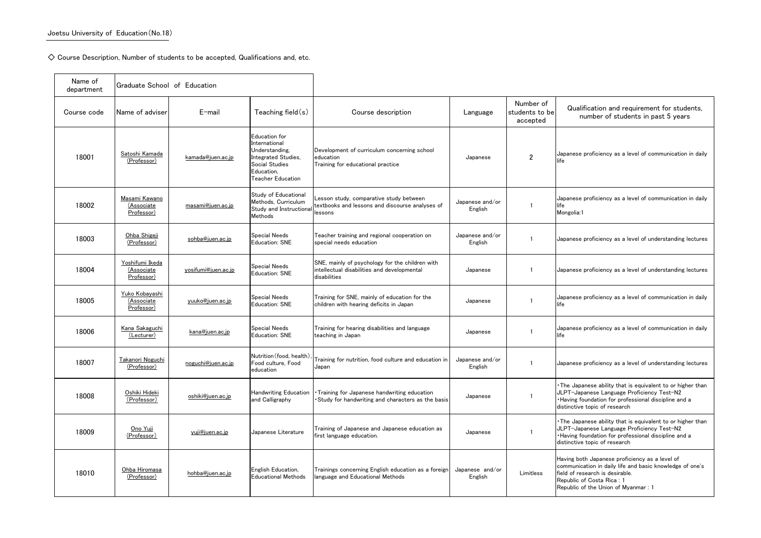$\diamondsuit$  Course Description, Number of students to be accepted, Qualifications and, etc.

## Qualification and requirement for students, number of students in past 5 years

anese proficiency as a level of communication in daily

anese proficiency as a level of communication in daily ngolia:1

anese proficiency as a level of understanding lectures

anese proficiency as a level of understanding lectures

anese proficiency as a level of communication in daily

anese proficiency as a level of communication in daily

anese proficiency as a level of understanding lectures

e Japanese ability that is equivalent to or higher than T-Japanese Language Proficiency Test-N2 ving foundation for professional discipline and a inctive topic of research

e Japanese ability that is equivalent to or higher than T-Japanese Language Proficiency Test-N2 ving foundation for professional discipline and a inctive topic of research

ing both Japanese proficiency as a level of munication in daily life and basic knowledge of one's I of research is desirable. ublic of Costa Rica : 1 ublic of the Union of Myanmar : 1

| Name of<br>department | Graduate School of Education                     |                     |                                                                                                                              |                                                                                                                |                            |                                         |                                            |
|-----------------------|--------------------------------------------------|---------------------|------------------------------------------------------------------------------------------------------------------------------|----------------------------------------------------------------------------------------------------------------|----------------------------|-----------------------------------------|--------------------------------------------|
| Course code           | Name of adviser                                  | $E$ -mail           | Teaching field $(s)$                                                                                                         | Course description                                                                                             | Language                   | Number of<br>students to be<br>accepted |                                            |
| 18001                 | Satoshi Kamada<br>(Professor)                    | kamada@juen.ac.jp   | Education for<br>International<br>Understanding,<br>Integrated Studies,<br>Social Studies<br>Education,<br>Teacher Education | Development of curriculum concerning school<br>education<br>Training for educational practice                  | Japanese                   | $\overline{2}$                          | <b>Japa</b><br>life                        |
| 18002                 | <u>Masami Kawano</u><br>(Associate<br>Professor) | masami@juen.ac.jp   | Study of Educational<br>Methods, Curriculum<br>Study and Instructional<br>Methods                                            | Lesson study, comparative study between<br>textbooks and lessons and discourse analyses of<br>lessons          | Japanese and/or<br>English |                                         | Japa<br>life<br>Mon                        |
| 18003                 | Ohba Shigeji<br>(Professor)                      | sohba@juen.ac.jp    | <b>Special Needs</b><br>Education: SNE                                                                                       | Teacher training and regional cooperation on<br>special needs education                                        | Japanese and/or<br>English |                                         | Japa                                       |
| 18004                 | Yoshifumi Ikeda<br>(Associate<br>Professor)      | yosifumi@juen.ac.jp | <b>Special Needs</b><br>Education: SNE                                                                                       | SNE, mainly of psychology for the children with<br>intellectual disabilities and developmental<br>disabilities | Japanese                   |                                         | Japa                                       |
| 18005                 | Yuko Kobayashi<br>(Associate<br>Professor)       | yuuko@juen.ac.jp    | <b>Special Needs</b><br>Education: SNE                                                                                       | Training for SNE, mainly of education for the<br>children with hearing deficits in Japan                       | Japanese                   |                                         | Japa<br>life                               |
| 18006                 | Kana Sakaguchi<br>(Lecturer)                     | kana@juen.ac.jp     | Special Needs<br>Education: SNE                                                                                              | Training for hearing disabilities and language<br>teaching in Japan                                            | Japanese                   |                                         | Japa<br>life                               |
| 18007                 | Takanori Noguchi<br>(Professor)                  | noguchi@juen.ac.jp  | Food culture, Food<br>education                                                                                              | Nutrition (food, health), Training for nutrition, food culture and education in<br>Japan                       | Japanese and/or<br>English | $\mathbf{1}$                            | Japa                                       |
| 18008                 | Oshiki Hideki<br>(Professor)                     | oshiki@juen.ac.jp   | <b>Handwriting Education</b><br>and Calligraphy                                                                              | · Training for Japanese handwriting education<br>Study for handwriting and characters as the basis             | Japanese                   |                                         | $\cdot$ The<br><b>JLP</b><br>·Hav<br>disti |
| 18009                 | <u>Ono Yuji</u><br>(Professor)                   | yuji@juen.ac.jp     | Japanese Literature                                                                                                          | Training of Japanese and Japanese education as<br>first language education.                                    | Japanese                   |                                         | • The<br><b>JLP</b><br>·Hav<br>disti       |
| 18010                 | Ohba Hiromasa<br>(Professor)                     | hohba@juen.ac.jp    | English Education,<br><b>Educational Methods</b>                                                                             | Trainings concerning English education as a foreign<br>language and Educational Methods                        | Japanese and/or<br>English | Limitless                               | Havi<br>com<br>field<br>Rep<br>Rep         |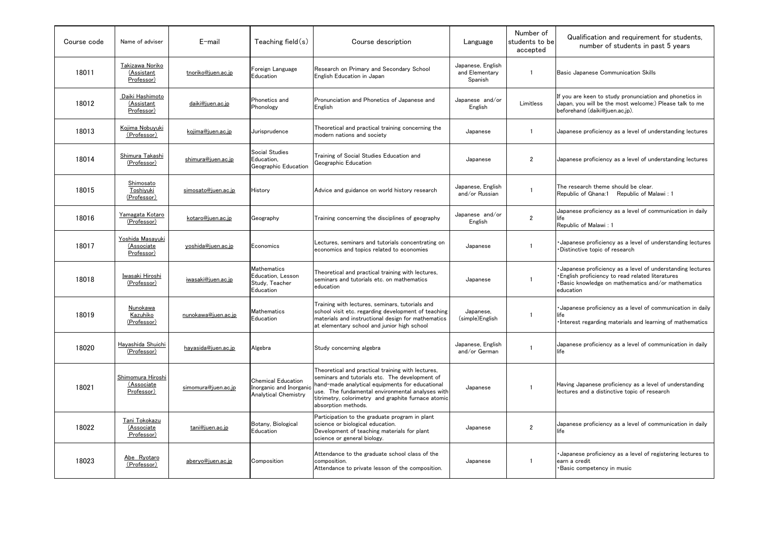## Qualification and requirement for students, number of students in past 5 years

ic Japanese Communication Skills

ou are keen to study pronunciation and phonetics in an, you will be the most welcome:) Please talk to me beforehand (daiki@juen.ac.jp).

anese proficiency as a level of understanding lectures

anese proficiency as a level of understanding lectures

research theme should be clear. ublic of Ghana: $1$  Republic of Malawi : 1

anese proficiency as a level of communication in daily

ublic of Malawi : 1

panese proficiency as a level of understanding lectures stinctive topic of research

panese proficiency as a level of understanding lectures glish proficiency to read related literatures  $s$ ic knowledge on mathematics and/or mathematics cation

panese proficiency as a level of communication in daily

erest regarding materials and learning of mathematics

anese proficiency as a level of communication in daily

ing Japanese proficiency as a level of understanding ures and a distinctive topic of research

anese proficiency as a level of communication in daily

panese proficiency as a level of registering lectures to a credit sic competency in music

| Course code | Name of adviser                                     | E-mail              | Teaching field $(s)$                                                                | Course description                                                                                                                                                                                                                                                                       | Language                                       | Number of<br>students to be<br>accepted |                              |
|-------------|-----------------------------------------------------|---------------------|-------------------------------------------------------------------------------------|------------------------------------------------------------------------------------------------------------------------------------------------------------------------------------------------------------------------------------------------------------------------------------------|------------------------------------------------|-----------------------------------------|------------------------------|
| 18011       | Takizawa Noriko<br>(Assistant<br>Professor)         | tnoriko@juen.ac.jp  | <b>Foreign Language</b><br>Education                                                | Research on Primary and Secondary School<br>English Education in Japan                                                                                                                                                                                                                   | Japanese, English<br>and Elementary<br>Spanish | -1                                      | <b>Basi</b>                  |
| 18012       | Daiki Hashimoto<br>(Assistant<br>Professor)         | daiki@juen.ac.jp    | <b>Phonetics and</b><br>Phonology                                                   | Pronunciation and Phonetics of Japanese and<br>English                                                                                                                                                                                                                                   | Japanese and/or<br>English                     | Limitless                               | If yo<br>Japa<br>befor       |
| 18013       | Kojima Nobuyuki<br>(Professor)                      | kojima@juen.ac.jp   | Jurisprudence                                                                       | Theoretical and practical training concerning the<br>modern nations and society                                                                                                                                                                                                          | Japanese                                       | -1                                      | Japa                         |
| 18014       | Shimura Takashi<br><u>(Professor)</u>               | shimura@juen.ac.jp  | Social Studies<br>Education,<br>Geographic Education                                | Training of Social Studies Education and<br>Geographic Education                                                                                                                                                                                                                         | Japanese                                       | $\overline{2}$                          | Japa                         |
| 18015       | Shimosato<br>Toshiyuki<br>(Professor)               | simosato@juen.ac.jp | History                                                                             | Advice and guidance on world history research                                                                                                                                                                                                                                            | Japanese, English<br>and/or Russian            |                                         | The<br>Repu                  |
| 18016       | Yamagata Kotaro<br>(Professor)                      | kotaro@juen.ac.jp   | Geography                                                                           | Training concerning the disciplines of geography                                                                                                                                                                                                                                         | Japanese and/or<br>English                     | $\overline{2}$                          | Japa<br>life<br>Repu         |
| 18017       | Yoshida Masayuki<br><u>(Associate</u><br>Professor) | yoshida@juen.ac.jp  | Economics                                                                           | Lectures, seminars and tutorials concentrating on<br>economics and topics related to economies                                                                                                                                                                                           | Japanese                                       | 1                                       | •Jap<br>•Dis                 |
| 18018       | Iwasaki Hiroshi<br>(Professor)                      | iwasaki@juen.ac.jp  | <b>Mathematics</b><br>Education, Lesson<br>Study, Teacher<br>Education              | Theoretical and practical training with lectures,<br>seminars and tutorials etc. on mathematics<br>education                                                                                                                                                                             | Japanese                                       |                                         | •Jap<br>•Eng<br>•Bas<br>educ |
| 18019       | Nunokawa<br>Kazuhiko<br>(Professor)                 | nunokawa@juen.ac.jp | Mathematics<br>Education                                                            | Training with lectures, seminars, tutorials and<br>school visit etc. regarding development of teaching<br>materials and instructional design for mathematics<br>at elementary school and junior high school                                                                              | Japanese,<br>(simple)English                   | $\mathbf{1}$                            | ∙Jap<br>life<br>•Inte        |
| 18020       | Hayashida Shuichi<br><u>(Professor)</u>             | hayasida@juen.ac.jp | Algebra                                                                             | Study concerning algebra                                                                                                                                                                                                                                                                 | Japanese, English<br>and/or German             |                                         | Japa<br>life                 |
| 18021       | Shimomura Hiroshi<br>(Associate<br>Professor)       | simomura@juen.ac.jp | <b>Chemical Education</b><br>Inorganic and Inorganic<br><b>Analytical Chemistry</b> | Theoretical and practical training with lectures,<br>seminars and tutorials etc. The development of<br>hand-made analytical equipments for educational<br>use. The fundamental environmental analyses with<br>titrimetry, colorimetry and graphite furnace atomic<br>absorption methods. | Japanese                                       |                                         | Havi<br>lectu                |
| 18022       | Tani Tokokazu<br><u>(Associate</u><br>Professor)    | tani@juen.ac.jp     | Botany, Biological<br>Education                                                     | Participation to the graduate program in plant<br>science or biological education.<br>Development of teaching materials for plant<br>science or general biology.                                                                                                                         | Japanese                                       | $\overline{2}$                          | Japa<br>life                 |
| 18023       | Abe Ryotaro<br>(Professor)                          | aberyo@juen.ac.jp   | Composition                                                                         | Attendance to the graduate school class of the<br>composition.<br>Attendance to private lesson of the composition.                                                                                                                                                                       | Japanese                                       |                                         | •Jap<br>earn<br>•Bas         |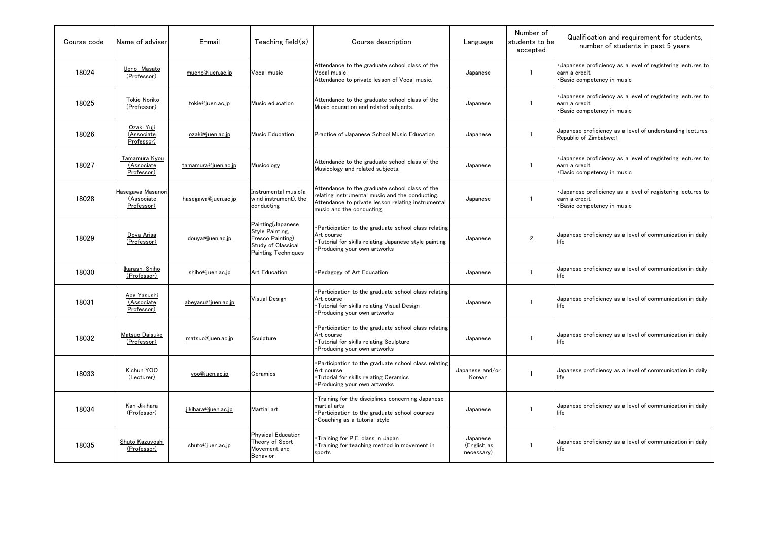## Qualification and requirement for students, number of students in past 5 years

panese proficiency as a level of registering lectures to า a credit sic competency in music

panese proficiency as a level of registering lectures to اa credit sic competency in music

anese proficiency as a level of understanding lectures ublic of Zimbabwe:1

panese proficiency as a level of registering lectures to า a credit sic competency in music

panese proficiency as a level of registering lectures to า a credit sic competency in music

anese proficiency as a level of communication in daily

anese proficiency as a level of communication in daily

anese proficiency as a level of communication in daily

anese proficiency as a level of communication in daily

anese proficiency as a level of communication in daily

anese proficiency as a level of communication in daily

anese proficiency as a level of communication in daily

| Course code | Name of adviser                               | $E$ -mail           | Teaching field $(s)$                                                                                  | Course description                                                                                                                                                                   | Language                              | Number of<br>students to be<br>accepted |                      |
|-------------|-----------------------------------------------|---------------------|-------------------------------------------------------------------------------------------------------|--------------------------------------------------------------------------------------------------------------------------------------------------------------------------------------|---------------------------------------|-----------------------------------------|----------------------|
| 18024       | Ueno Masato<br>(Professor)                    | mueno@juen.ac.jp    | Vocal music                                                                                           | Attendance to the graduate school class of the<br>Vocal music.<br>Attendance to private lesson of Vocal music.                                                                       | Japanese                              |                                         | •Jap<br>earn<br>•Bas |
| 18025       | <u>Tokie Noriko</u><br>(Professor)            | tokie@juen.ac.jp    | Music education                                                                                       | Attendance to the graduate school class of the<br>Music education and related subjects.                                                                                              | Japanese                              |                                         | •Jap<br>earn<br>•Bas |
| 18026       | <u>Ozaki Yuji</u><br>(Associate<br>Professor) | ozaki@juen.ac.jp    | Music Education                                                                                       | Practice of Japanese School Music Education                                                                                                                                          | Japanese                              |                                         | Japa<br>Repu         |
| 18027       | Tamamura Kyou<br>(Associate<br>Professor)     | tamamura@juen.ac.jp | Musicology                                                                                            | Attendance to the graduate school class of the<br>Musicology and related subjects.                                                                                                   | Japanese                              |                                         | •Jap<br>earn<br>•Bas |
| 18028       | Hasegawa Masanori<br>(Associate<br>Professor) | hasegawa@juen.ac.jp | Instrumental music(a<br>wind instrument), the<br>conducting                                           | Attendance to the graduate school class of the<br>relating instrumental music and the conducting.<br>Attendance to private lesson relating instrumental<br>music and the conducting. | Japanese                              |                                         | •Jap<br>earn<br>•Bas |
| 18029       | Dova Arisa<br>(Professor)                     | douya@juen.ac.jp    | Painting(Japanese<br>Style Painting,<br>Fresco Painting)<br>Study of Classical<br>Painting Techniques | Participation to the graduate school class relating<br>Art course<br>Tutorial for skills relating Japanese style painting<br>Producing your own artworks                             | Japanese                              | $\mathbf{2}$                            | Japa<br>life         |
| 18030       | Ikarashi Shiho<br>(Professor)                 | shiho@juen.ac.jp    | <b>Art Education</b>                                                                                  | Pedagogy of Art Education                                                                                                                                                            | Japanese                              |                                         | Japa<br>life         |
| 18031       | Abe Yasushi<br>(Associate<br>Professor)       | abeyasu@juen.ac.jp  | <b>Visual Design</b>                                                                                  | Participation to the graduate school class relating<br>Art course<br>. Tutorial for skills relating Visual Design<br>• Producing your own artworks                                   | Japanese                              |                                         | Japa<br>life         |
| 18032       | Matsuo Daisuke<br>(Professor)                 | matsuo@juen.ac.jp   | Sculpture                                                                                             | Participation to the graduate school class relating<br>Art course<br>· Tutorial for skills relating Sculpture<br>Producing your own artworks                                         | Japanese                              |                                         | Japa<br>life         |
| 18033       | Kichun YOO<br>(Lecturer)                      | yoo@juen.ac.jp      | Ceramics                                                                                              | Participation to the graduate school class relating<br>Art course<br>· Tutorial for skills relating Ceramics<br>Producing your own artworks                                          | Japanese and/or<br>Korean             |                                         | Japa<br>life         |
| 18034       | Kan Jikihara<br>(Professor)                   | jikihara@juen.ac.jp | Martial art                                                                                           | Training for the disciplines concerning Japanese<br>martial arts<br>Participation to the graduate school courses<br>• Coaching as a tutorial style                                   | Japanese                              |                                         | Japa<br>life         |
| 18035       | Shuto Kazuyoshi<br>(Professor)                | shuto@juen.ac.jp    | Physical Education<br>Theory of Sport<br>Movement and<br><b>Behavior</b>                              | Training for P.E. class in Japan<br>Training for teaching method in movement in<br>sports                                                                                            | Japanese<br>(English as<br>necessary) |                                         | Japa<br>life         |